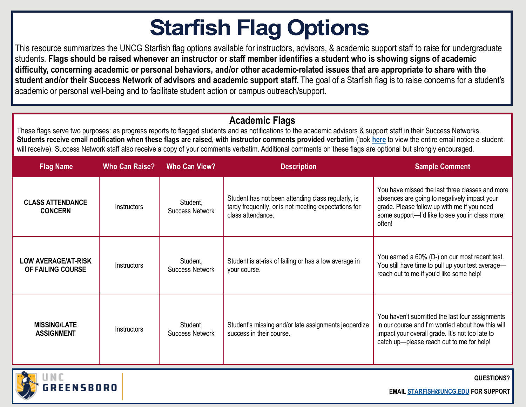# **Starfish Flag Options**

This resource summarizes the UNCG Starfish flag options available for instructors, advisors, & academic support staff to raise for undergraduate students. **Flags should be raised whenever an instructor or staff member identifies a student who is showing signs of academic difficulty, concerning academic or personal behaviors, and/or other academic-related issues that are appropriate to share with the student and/or their Success Network of advisors and academic support staff.** The goal of a Starfish flag is to raise concerns for a student's academic or personal well-being and to facilitate student action or campus outreach/support.

#### **Academic Flags**

These flags serve two purposes: as progress reports to flagged students and as notifications to the academic advisors & support staff in their Success Networks. Students receive email notification when these flags are raised, with instructor comments provided verbatim (look [here](https://studentsfirst.uncg.edu/wp-content/uploads/2019/02/INSTRUCTORS-STAFF-Sample-Email-Templates_2020-2.pdf) to view the entire email notice a student will receive). Success Network staff also receive a copy of your comments verbatim. Additional comments on these flags are optional but strongly encouraged.

| <b>Flag Name</b>                                | <b>Who Can Raise?</b> | <b>Who Can View?</b>               | <b>Description</b>                                                                                                              | <b>Sample Comment</b>                                                                                                                                                                                     |
|-------------------------------------------------|-----------------------|------------------------------------|---------------------------------------------------------------------------------------------------------------------------------|-----------------------------------------------------------------------------------------------------------------------------------------------------------------------------------------------------------|
| <b>CLASS ATTENDANCE</b><br><b>CONCERN</b>       | Instructors           | Student,<br><b>Success Network</b> | Student has not been attending class regularly, is<br>tardy frequently, or is not meeting expectations for<br>class attendance. | You have missed the last three classes and more<br>absences are going to negatively impact your<br>grade. Please follow up with me if you need<br>some support-'d like to see you in class more<br>often! |
| <b>LOW AVERAGE/AT-RISK</b><br>OF FAILING COURSE | Instructors           | Student,<br><b>Success Network</b> | Student is at-risk of failing or has a low average in<br>your course.                                                           | You earned a 60% (D-) on our most recent test.<br>You still have time to pull up your test average-<br>reach out to me if you'd like some help!                                                           |
| <b>MISSING/LATE</b><br><b>ASSIGNMENT</b>        | Instructors           | Student,<br><b>Success Network</b> | Student's missing and/or late assignments jeopardize<br>success in their course.                                                | You haven't submitted the last four assignments<br>in our course and I'm worried about how this will<br>impact your overall grade. It's not too late to<br>catch up-please reach out to me for help!      |



**QUESTIONS?**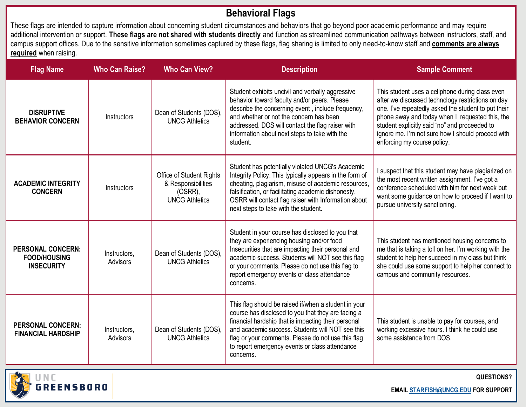#### **Behavioral Flags**

These flags are intended to capture information about concerning student circumstances and behaviors that go beyond poor academic performance and may require additional intervention or support. **These flags are not shared with students directly** and function as streamlined communication pathways between instructors, staff, and campus support offices. Due to the sensitive information sometimes captured by these flags, flag sharing is limited to only need-to-know staff and **comments are always required** when raising.

| <b>Flag Name</b>                                                     | <b>Who Can Raise?</b>    | <b>Who Can View?</b>                                                               | <b>Description</b>                                                                                                                                                                                                                                                                                                                         | <b>Sample Comment</b>                                                                                                                                                                                                                                                                                                                               |
|----------------------------------------------------------------------|--------------------------|------------------------------------------------------------------------------------|--------------------------------------------------------------------------------------------------------------------------------------------------------------------------------------------------------------------------------------------------------------------------------------------------------------------------------------------|-----------------------------------------------------------------------------------------------------------------------------------------------------------------------------------------------------------------------------------------------------------------------------------------------------------------------------------------------------|
| <b>DISRUPTIVE</b><br><b>BEHAVIOR CONCERN</b>                         | Instructors              | Dean of Students (DOS),<br><b>UNCG Athletics</b>                                   | Student exhibits uncivil and verbally aggressive<br>behavior toward faculty and/or peers. Please<br>describe the concerning event, include frequency,<br>and whether or not the concern has been<br>addressed. DOS will contact the flag raiser with<br>information about next steps to take with the<br>student.                          | This student uses a cellphone during class even<br>after we discussed technology restrictions on day<br>one. I've repeatedly asked the student to put their<br>phone away and today when I requested this, the<br>student explicitly said "no" and proceeded to<br>ignore me. I'm not sure how I should proceed with<br>enforcing my course policy. |
| <b>ACADEMIC INTEGRITY</b><br><b>CONCERN</b>                          | Instructors              | Office of Student Rights<br>& Responsibilities<br>(OSRR),<br><b>UNCG Athletics</b> | Student has potentially violated UNCG's Academic<br>Integrity Policy. This typically appears in the form of<br>cheating, plagiarism, misuse of academic resources,<br>falsification, or facilitating academic dishonesty.<br>OSRR will contact flag raiser with Information about<br>next steps to take with the student.                  | I suspect that this student may have plagiarized on<br>the most recent written assignment. I've got a<br>conference scheduled with him for next week but<br>want some guidance on how to proceed if I want to<br>pursue university sanctioning.                                                                                                     |
| <b>PERSONAL CONCERN:</b><br><b>FOOD/HOUSING</b><br><b>INSECURITY</b> | Instructors,<br>Advisors | Dean of Students (DOS),<br><b>UNCG Athletics</b>                                   | Student in your course has disclosed to you that<br>they are experiencing housing and/or food<br>Insecurities that are impacting their personal and<br>academic success. Students will NOT see this flag<br>or your comments. Please do not use this flag to<br>report emergency events or class attendance<br>concerns.                   | This student has mentioned housing concerns to<br>me that is taking a toll on her. I'm working with the<br>student to help her succeed in my class but think<br>she could use some support to help her connect to<br>campus and community resources.                                                                                                |
| <b>PERSONAL CONCERN:</b><br><b>FINANCIAL HARDSHIP</b>                | Instructors,<br>Advisors | Dean of Students (DOS),<br><b>UNCG Athletics</b>                                   | This flag should be raised if/when a student in your<br>course has disclosed to you that they are facing a<br>financial hardship that is impacting their personal<br>and academic success. Students will NOT see this<br>flag or your comments. Please do not use this flag<br>to report emergency events or class attendance<br>concerns. | This student is unable to pay for courses, and<br>working excessive hours. I think he could use<br>some assistance from DOS.                                                                                                                                                                                                                        |
|                                                                      |                          |                                                                                    |                                                                                                                                                                                                                                                                                                                                            |                                                                                                                                                                                                                                                                                                                                                     |



**QUESTIONS?**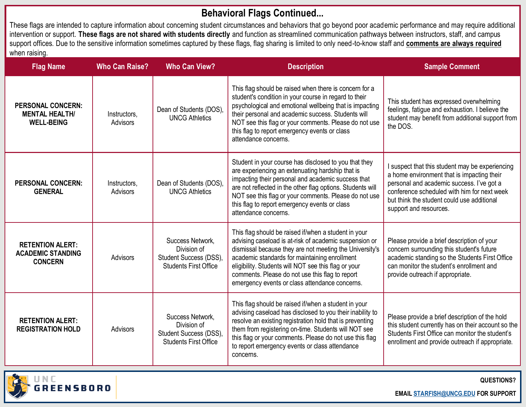## **Behavioral Flags Continued...**

These flags are intended to capture information about concerning student circumstances and behaviors that go beyond poor academic performance and may require additional intervention or support. **These flags are not shared with students directly** and function as streamlined communication pathways between instructors, staff, and campus support offices. Due to the sensitive information sometimes captured by these flags, flag sharing is limited to only need-to-know staff and **comments are always required** when raising.

| <b>Flag Name</b>                                                       | <b>Who Can Raise?</b>    | <b>Who Can View?</b>                                                                      | <b>Description</b>                                                                                                                                                                                                                                                                                                                                                                      | <b>Sample Comment</b>                                                                                                                                                                                                                                             |
|------------------------------------------------------------------------|--------------------------|-------------------------------------------------------------------------------------------|-----------------------------------------------------------------------------------------------------------------------------------------------------------------------------------------------------------------------------------------------------------------------------------------------------------------------------------------------------------------------------------------|-------------------------------------------------------------------------------------------------------------------------------------------------------------------------------------------------------------------------------------------------------------------|
| <b>PERSONAL CONCERN:</b><br><b>MENTAL HEALTH/</b><br><b>WELL-BEING</b> | Instructors,<br>Advisors | Dean of Students (DOS),<br><b>UNCG Athletics</b>                                          | This flag should be raised when there is concern for a<br>student's condition in your course in regard to their<br>psychological and emotional wellbeing that is impacting<br>their personal and academic success. Students will<br>NOT see this flag or your comments. Please do not use<br>this flag to report emergency events or class<br>attendance concerns.                      | This student has expressed overwhelming<br>feelings, fatigue and exhaustion. I believe the<br>student may benefit from additional support from<br>the DOS.                                                                                                        |
| <b>PERSONAL CONCERN:</b><br><b>GENERAL</b>                             | Instructors,<br>Advisors | Dean of Students (DOS),<br><b>UNCG Athletics</b>                                          | Student in your course has disclosed to you that they<br>are experiencing an extenuating hardship that is<br>impacting their personal and academic success that<br>are not reflected in the other flag options. Students will<br>NOT see this flag or your comments. Please do not use<br>this flag to report emergency events or class<br>attendance concerns.                         | I suspect that this student may be experiencing<br>a home environment that is impacting their<br>personal and academic success. I've got a<br>conference scheduled with him for next week<br>but think the student could use additional<br>support and resources. |
| <b>RETENTION ALERT:</b><br><b>ACADEMIC STANDING</b><br><b>CONCERN</b>  | Advisors                 | Success Network,<br>Division of<br>Student Success (DSS),<br><b>Students First Office</b> | This flag should be raised if/when a student in your<br>advising caseload is at-risk of academic suspension or<br>dismissal because they are not meeting the University's<br>academic standards for maintaining enrollment<br>eligibility. Students will NOT see this flag or your<br>comments. Please do not use this flag to report<br>emergency events or class attendance concerns. | Please provide a brief description of your<br>concern surrounding this student's future<br>academic standing so the Students First Office<br>can monitor the student's enrollment and<br>provide outreach if appropriate.                                         |
| <b>RETENTION ALERT:</b><br><b>REGISTRATION HOLD</b>                    | Advisors                 | Success Network.<br>Division of<br>Student Success (DSS),<br><b>Students First Office</b> | This flag should be raised if/when a student in your<br>advising caseload has disclosed to you their inability to<br>resolve an existing registration hold that is preventing<br>them from registering on-time. Students will NOT see<br>this flag or your comments. Please do not use this flag<br>to report emergency events or class attendance<br>concerns.                         | Please provide a brief description of the hold<br>this student currently has on their account so the<br>Students First Office can monitor the student's<br>enrollment and provide outreach if appropriate.                                                        |
|                                                                        |                          |                                                                                           |                                                                                                                                                                                                                                                                                                                                                                                         |                                                                                                                                                                                                                                                                   |



**QUESTIONS?**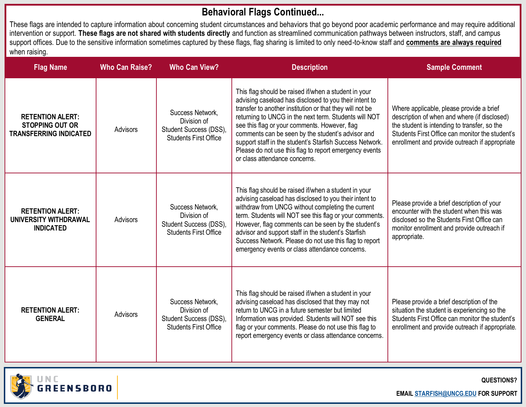### **Behavioral Flags Continued...**

These flags are intended to capture information about concerning student circumstances and behaviors that go beyond poor academic performance and may require additional intervention or support. **These flags are not shared with students directly** and function as streamlined communication pathways between instructors, staff, and campus support offices. Due to the sensitive information sometimes captured by these flags, flag sharing is limited to only need-to-know staff and **comments are always required** when raising.

| <b>Flag Name</b>                                                                   | <b>Who Can Raise?</b> | <b>Who Can View?</b>                                                                      | <b>Description</b>                                                                                                                                                                                                                                                                                                                                                                                                                                                                               | <b>Sample Comment</b>                                                                                                                                                                                                                         |
|------------------------------------------------------------------------------------|-----------------------|-------------------------------------------------------------------------------------------|--------------------------------------------------------------------------------------------------------------------------------------------------------------------------------------------------------------------------------------------------------------------------------------------------------------------------------------------------------------------------------------------------------------------------------------------------------------------------------------------------|-----------------------------------------------------------------------------------------------------------------------------------------------------------------------------------------------------------------------------------------------|
| <b>RETENTION ALERT:</b><br><b>STOPPING OUT OR</b><br><b>TRANSFERRING INDICATED</b> | <b>Advisors</b>       | Success Network,<br>Division of<br>Student Success (DSS),<br><b>Students First Office</b> | This flag should be raised if/when a student in your<br>advising caseload has disclosed to you their intent to<br>transfer to another institution or that they will not be<br>returning to UNCG in the next term. Students will NOT<br>see this flag or your comments. However, flag<br>comments can be seen by the student's advisor and<br>support staff in the student's Starfish Success Network.<br>Please do not use this flag to report emergency events<br>or class attendance concerns. | Where applicable, please provide a brief<br>description of when and where (if disclosed)<br>the student is intending to transfer, so the<br>Students First Office can monitor the student's<br>enrollment and provide outreach if appropriate |
| <b>RETENTION ALERT:</b><br>UNIVERSITY WITHDRAWAL<br><b>INDICATED</b>               | Advisors              | Success Network,<br>Division of<br>Student Success (DSS),<br><b>Students First Office</b> | This flag should be raised if/when a student in your<br>advising caseload has disclosed to you their intent to<br>withdraw from UNCG without completing the current<br>term. Students will NOT see this flag or your comments.<br>However, flag comments can be seen by the student's<br>advisor and support staff in the student's Starfish<br>Success Network. Please do not use this flag to report<br>emergency events or class attendance concerns.                                         | Please provide a brief description of your<br>encounter with the student when this was<br>disclosed so the Students First Office can<br>monitor enrollment and provide outreach if<br>appropriate.                                            |
| <b>RETENTION ALERT:</b><br><b>GENERAL</b>                                          | Advisors              | Success Network,<br>Division of<br>Student Success (DSS),<br><b>Students First Office</b> | This flag should be raised if/when a student in your<br>advising caseload has disclosed that they may not<br>return to UNCG in a future semester but limited<br>Information was provided. Students will NOT see this<br>flag or your comments. Please do not use this flag to<br>report emergency events or class attendance concerns.                                                                                                                                                           | Please provide a brief description of the<br>situation the student is experiencing so the<br>Students First Office can monitor the student's<br>enrollment and provide outreach if appropriate.                                               |



**QUESTIONS?**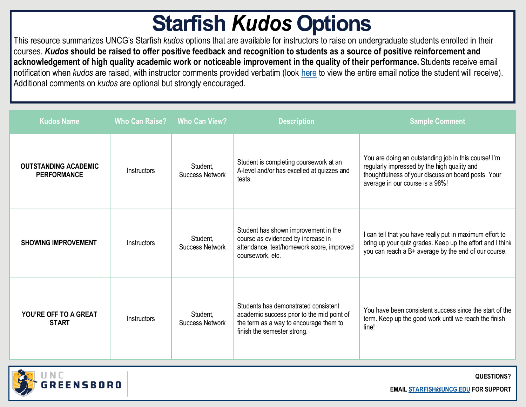## **Starfish Kudos Options**

This resource summarizes UNCG's Starfish *kudos* options that are available for instructors to raise on undergraduate students enrolled in their courses. *Kudos* **should be raised to offer positive feedback and recognition to students as a source of positive reinforcement and acknowledgement of high quality academic work or noticeable improvement in the quality of their performance.** Students receive email notification when *kudos* are raised, with instructor comments provided verbatim (look [here](https://studentsfirst.uncg.edu/wp-content/uploads/2019/02/INSTRUCTORS-STAFF-Sample-Email-Templates_2020-2.pdf) to view the entire email notice the student will receive). Additional comments on *kudos* are optional but strongly encouraged.

| <b>Kudos Name</b>                                 | <b>Who Can Raise?</b> | <b>Who Can View?</b>               | <b>Description</b>                                                                                                                                          | <b>Sample Comment</b>                                                                                                                                                                         |
|---------------------------------------------------|-----------------------|------------------------------------|-------------------------------------------------------------------------------------------------------------------------------------------------------------|-----------------------------------------------------------------------------------------------------------------------------------------------------------------------------------------------|
| <b>OUTSTANDING ACADEMIC</b><br><b>PERFORMANCE</b> | Instructors           | Student,<br><b>Success Network</b> | Student is completing coursework at an<br>A-level and/or has excelled at quizzes and<br>tests.                                                              | You are doing an outstanding job in this course! I'm<br>regularly impressed by the high quality and<br>thoughtfulness of your discussion board posts. Your<br>average in our course is a 98%! |
| <b>SHOWING IMPROVEMENT</b>                        | <b>Instructors</b>    | Student,<br><b>Success Network</b> | Student has shown improvement in the<br>course as evidenced by increase in<br>attendance, test/homework score, improved<br>coursework, etc.                 | I can tell that you have really put in maximum effort to<br>bring up your quiz grades. Keep up the effort and I think<br>you can reach a B+ average by the end of our course.                 |
| YOU'RE OFF TO A GREAT<br><b>START</b>             | Instructors           | Student,<br><b>Success Network</b> | Students has demonstrated consistent<br>academic success prior to the mid point of<br>the term as a way to encourage them to<br>finish the semester strong. | You have been consistent success since the start of the<br>term. Keep up the good work until we reach the finish<br>line!                                                                     |



**QUESTIONS?**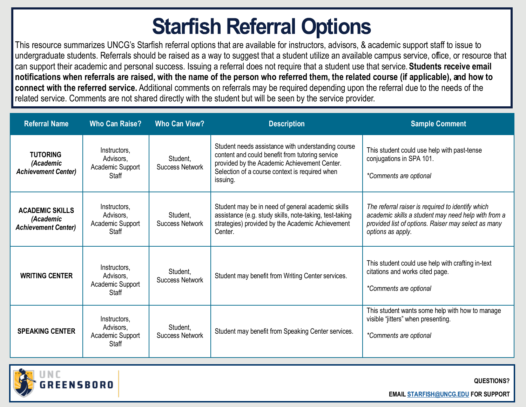# **Starfish Referral Options**

This resource summarizes UNCG's Starfish referral options that are available for instructors, advisors, & academic support staff to issue to undergraduate students. Referrals should be raised as a way to suggest that a student utilize an available campus service, office, or resource that can support their academic and personal success. Issuing a referral does not require that a student use that service. **Students receive email notifications when referrals are raised, with the name of the person who referred them, the related course (if applicable), and how to connect with the referred service.** Additional comments on referrals may be required depending upon the referral due to the needs of the related service. Comments are not shared directly with the student but will be seen by the service provider.

| <b>Referral Name</b>                                              | <b>Who Can Raise?</b>                                  | <b>Who Can View?</b>               | <b>Description</b>                                                                                                                                                                                                  | <b>Sample Comment</b>                                                                                                                                                                |
|-------------------------------------------------------------------|--------------------------------------------------------|------------------------------------|---------------------------------------------------------------------------------------------------------------------------------------------------------------------------------------------------------------------|--------------------------------------------------------------------------------------------------------------------------------------------------------------------------------------|
| <b>TUTORING</b><br>(Academic<br><b>Achievement Center)</b>        | Instructors.<br>Advisors,<br>Academic Support<br>Staff | Student.<br><b>Success Network</b> | Student needs assistance with understanding course<br>content and could benefit from tutoring service<br>provided by the Academic Achievement Center.<br>Selection of a course context is required when<br>issuing. | This student could use help with past-tense<br>conjugations in SPA 101.<br>*Comments are optional                                                                                    |
| <b>ACADEMIC SKILLS</b><br>(Academic<br><b>Achievement Center)</b> | Instructors.<br>Advisors,<br>Academic Support<br>Staff | Student,<br><b>Success Network</b> | Student may be in need of general academic skills<br>assistance (e.g. study skills, note-taking, test-taking<br>strategies) provided by the Academic Achievement<br>Center.                                         | The referral raiser is required to identify which<br>academic skills a student may need help with from a<br>provided list of options. Raiser may select as many<br>options as apply. |
| <b>WRITING CENTER</b>                                             | Instructors.<br>Advisors,<br>Academic Support<br>Staff | Student.<br><b>Success Network</b> | Student may benefit from Writing Center services.                                                                                                                                                                   | This student could use help with crafting in-text<br>citations and works cited page.<br>*Comments are optional                                                                       |
| <b>SPEAKING CENTER</b>                                            | Instructors,<br>Advisors,<br>Academic Support<br>Staff | Student,<br><b>Success Network</b> | Student may benefit from Speaking Center services.                                                                                                                                                                  | This student wants some help with how to manage<br>visible "jitters" when presenting.<br>*Comments are optional                                                                      |



**QUESTIONS?**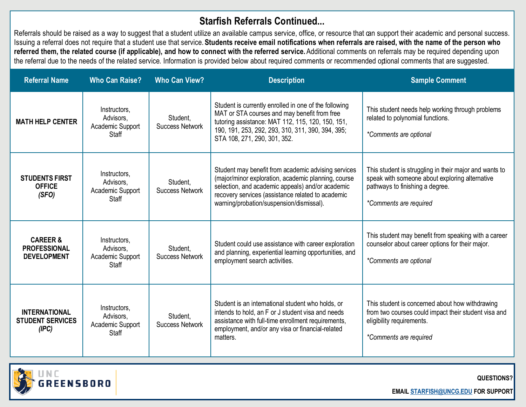### **Starfish Referrals Continued...**

Referrals should be raised as a way to suggest that a student utilize an available campus service, office, or resource that can support their academic and personal success. Issuing a referral does not require that a student use that service. **Students receive email notifications when referrals are raised, with the name of the person who**  referred them, the related course (if applicable), and how to connect with the referred service. Additional comments on referrals may be required depending upon the referral due to the needs of the related service. Information is provided below about required comments or recommended optional comments that are suggested.

| <b>Referral Name</b>                                             | <b>Who Can Raise?</b>                                         | <b>Who Can View?</b>               | <b>Description</b>                                                                                                                                                                                                                                              | <b>Sample Comment</b>                                                                                                                                                 |
|------------------------------------------------------------------|---------------------------------------------------------------|------------------------------------|-----------------------------------------------------------------------------------------------------------------------------------------------------------------------------------------------------------------------------------------------------------------|-----------------------------------------------------------------------------------------------------------------------------------------------------------------------|
| <b>MATH HELP CENTER</b>                                          | Instructors,<br>Advisors,<br>Academic Support<br>Staff        | Student,<br><b>Success Network</b> | Student is currently enrolled in one of the following<br>MAT or STA courses and may benefit from free<br>tutoring assistance: MAT 112, 115, 120, 150, 151,<br>190, 191, 253, 292, 293, 310, 311, 390, 394, 395;<br>STA 108, 271, 290, 301, 352.                 | This student needs help working through problems<br>related to polynomial functions.<br>*Comments are optional                                                        |
| <b>STUDENTS FIRST</b><br><b>OFFICE</b><br>(SFO)                  | Instructors,<br>Advisors,<br>Academic Support<br>Staff        | Student,<br><b>Success Network</b> | Student may benefit from academic advising services<br>(major/minor exploration, academic planning, course<br>selection, and academic appeals) and/or academic<br>recovery services (assistance related to academic<br>warning/probation/suspension/dismissal). | This student is struggling in their major and wants to<br>speak with someone about exploring alternative<br>pathways to finishing a degree.<br>*Comments are required |
| <b>CAREER &amp;</b><br><b>PROFESSIONAL</b><br><b>DEVELOPMENT</b> | Instructors,<br>Advisors,<br>Academic Support<br><b>Staff</b> | Student,<br><b>Success Network</b> | Student could use assistance with career exploration<br>and planning, experiential learning opportunities, and<br>employment search activities.                                                                                                                 | This student may benefit from speaking with a career<br>counselor about career options for their major.<br>*Comments are optional                                     |
| <b>INTERNATIONAL</b><br><b>STUDENT SERVICES</b><br>(IPC)         | Instructors,<br>Advisors,<br>Academic Support<br>Staff        | Student,<br><b>Success Network</b> | Student is an international student who holds, or<br>intends to hold, an F or J student visa and needs<br>assistance with full-time enrollment requirements,<br>employment, and/or any visa or financial-related<br>matters.                                    | This student is concerned about how withdrawing<br>from two courses could impact their student visa and<br>eligibility requirements.<br>*Comments are required        |



**QUESTIONS?**